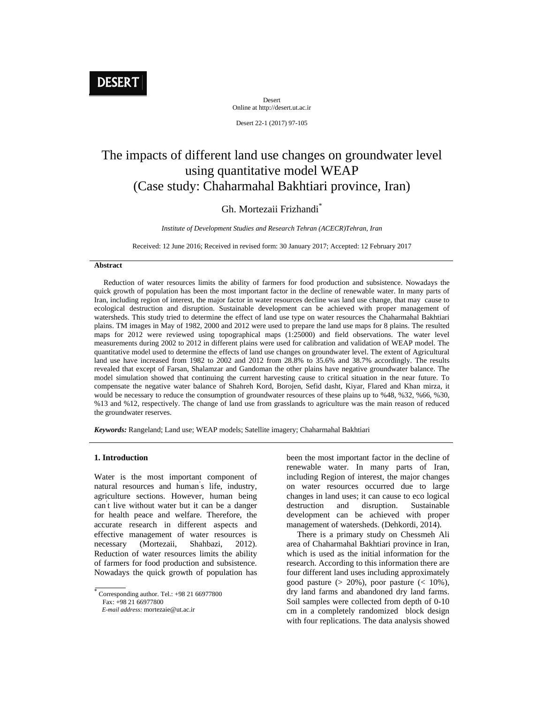# DESERT

Desert Online at http://desert.ut.ac.ir

Desert 22-1 (2017) 97-105

## The impacts of different land use changes on groundwater level using quantitative model WEAP (Case study: Chaharmahal Bakhtiari province, Iran)

## Gh. Mortezaii Frizhandi<sup>\*</sup>

*Institute of Development Studies and Research Tehran (ACECR)Tehran, Iran*

Received: 12 June 2016; Received in revised form: 30 January 2017; Accepted: 12 February 2017

#### **Abstract**

 Reduction of water resources limits the ability of farmers for food production and subsistence. Nowadays the quick growth of population has been the most important factor in the decline of renewable water. In many parts of Iran, including region of interest, the major factor in water resources decline was land use change, that may cause to ecological destruction and disruption. Sustainable development can be achieved with proper management of watersheds. This study tried to determine the effect of land use type on water resources the Chaharmahal Bakhtiari plains. TM images in May of 1982, 2000 and 2012 were used to prepare the land use maps for 8 plains. The resulted maps for 2012 were reviewed using topographical maps (1:25000) and field observations. The water level measurements during 2002 to 2012 in different plains were used for calibration and validation of WEAP model. The quantitative model used to determine the effects of land use changes on groundwater level. The extent of Agricultural land use have increased from 1982 to 2002 and 2012 from 28.8% to 35.6% and 38.7% accordingly. The results revealed that except of Farsan, Shalamzar and Gandoman the other plains have negative groundwater balance. The model simulation showed that continuing the current harvesting cause to critical situation in the near future. To compensate the negative water balance of Shahreh Kord, Borojen, Sefid dasht, Kiyar, Flared and Khan mirza, it would be necessary to reduce the consumption of groundwater resources of these plains up to %48, %32, %66, %30, %13 and %12, respectively. The change of land use from grasslands to agriculture was the main reason of reduced the groundwater reserves.

*Keywords:* Rangeland; Land use; WEAP models; Satellite imagery; Chaharmahal Bakhtiari

#### **1. Introduction**

Water is the most important component of natural resources and human' s life, industry, agriculture sections. However, human being can' t live without water but it can be a danger for health peace and welfare. Therefore, the accurate research in different aspects and effective management of water resources is necessary (Mortezaii, Shahbazi, 2012). Reduction of water resources limits the ability of farmers for food production and subsistence. Nowadays the quick growth of population has

been the most important factor in the decline of renewable water. In many parts of Iran, including Region of interest, the major changes on water resources occurred due to large changes in land uses; it can cause to eco logical destruction and disruption. Sustainable development can be achieved with proper management of watersheds. (Dehkordi, 2014).

 There is a primary study on Chessmeh Ali area of Chaharmahal Bakhtiari province in Iran, which is used as the initial information for the research. According to this information there are four different land uses including approximately good pasture  $(> 20\%)$ , poor pasture  $(< 10\%)$ , dry land farms and abandoned dry land farms. Soil samples were collected from depth of 0-10 cm in a completely randomized block design with four replications. The data analysis showed

 $\overline{\overline{\text{Corresponding author}}}\$ . Tel.: +98 21 66977800 Fax: +98 21 66977800

*E-mail address:* mortezaie@ut.ac.ir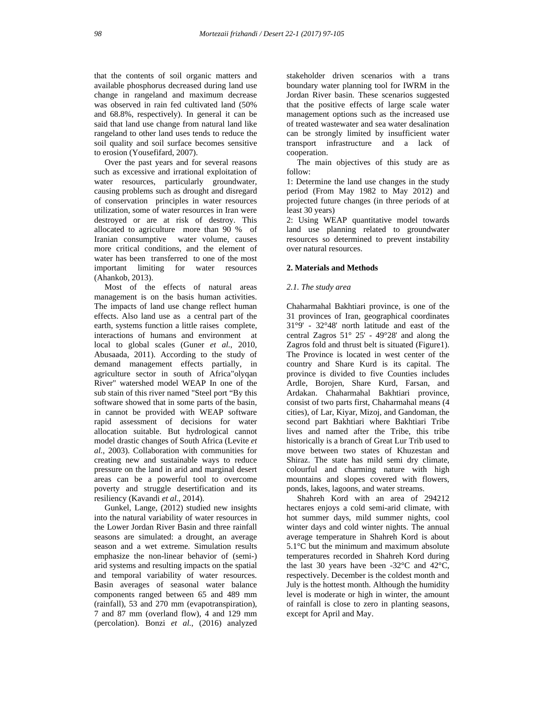that the contents of soil organic matters and available phosphorus decreased during land use change in rangeland and maximum decrease was observed in rain fed cultivated land (50% and 68.8%, respectively). In general it can be said that land use change from natural land like rangeland to other land uses tends to reduce the soil quality and soil surface becomes sensitive to erosion (Yousefifard, 2007).

 Over the past years and for several reasons such as excessive and irrational exploitation of water resources, particularly groundwater, causing problems such as drought and disregard of conservation principles in water resources utilization, some of water resources in Iran were destroyed or are at risk of destroy. This allocated to agriculture more than 90 % of Iranian consumptive water volume, causes more critical conditions, and the element of water has been transferred to one of the most important limiting for water resources (Ahankob, 2013).

 Most of the effects of natural areas management is on the basis human activities. The impacts of land use change reflect human effects. Also land use as a central part of the earth, systems function a little raises complete, interactions of humans and environment at local to global scales (Guner *et al.*, 2010, Abusaada, 2011). According to the study of demand management effects partially, in agriculture sector in south of Africa"olyqan River" watershed model WEAP In one of the sub stain of this river named "Steel port "By this software showed that in some parts of the basin, in cannot be provided with WEAP software rapid assessment of decisions for water allocation suitable. But hydrological cannot model drastic changes of South Africa (Levite *et al.*, 2003). Collaboration with communities for creating new and sustainable ways to reduce pressure on the land in arid and marginal desert areas can be a powerful tool to overcome poverty and struggle desertification and its resiliency (Kavandi *et al.*, 2014).

 Gunkel, Lange, (2012) studied new insights into the natural variability of water resources in the Lower Jordan River Basin and three rainfall seasons are simulated: a drought, an average season and a wet extreme. Simulation results emphasize the non-linear behavior of (semi-) arid systems and resulting impacts on the spatial and temporal variability of water resources. Basin averages of seasonal water balance components ranged between 65 and 489 mm (rainfall), 53 and 270 mm (evapotranspiration), 7 and 87 mm (overland flow), 4 and 129 mm (percolation). Bonzi *et al.*, (2016) analyzed

stakeholder driven scenarios with a trans boundary water planning tool for IWRM in the Jordan River basin. These scenarios suggested that the positive effects of large scale water management options such as the increased use of treated wastewater and sea water desalination can be strongly limited by insufficient water transport infrastructure and a lack of cooperation.

 The main objectives of this study are as follow:

1: Determine the land use changes in the study period (From May 1982 to May 2012) and projected future changes (in three periods of at least 30 years)

2: Using WEAP quantitative model towards land use planning related to groundwater resources so determined to prevent instability over natural resources.

## **2. Materials and Methods**

#### *2.1. The study area*

Chaharmahal Bakhtiari province, is one of the 31 provinces of Iran, geographical coordinates 31°9' - 32°48' north latitude and east of the central Zagros 51° 25' - 49°28' and along the Zagros fold and thrust belt is situated (Figure1). The Province is located in west center of the country and Share Kurd is its capital. The province is divided to five Counties includes Ardle, Borojen, Share Kurd, Farsan, and Ardakan. Chaharmahal Bakhtiari province, consist of two parts first, Chaharmahal means (4 cities), of Lar, Kiyar, Mizoj, and Gandoman, the second part Bakhtiari where Bakhtiari Tribe lives and named after the Tribe, this tribe historically is a branch of Great Lur Trib used to move between two states of Khuzestan and Shiraz. The state has mild semi dry climate, colourful and charming nature with high mountains and slopes covered with flowers, ponds, lakes, lagoons, and water streams.

 Shahreh Kord with an area of 294212 hectares enjoys a cold semi-arid climate, with hot summer days, mild summer nights, cool winter days and cold winter nights. The annual average temperature in Shahreh Kord is about 5.1°C but the minimum and maximum absolute temperatures recorded in Shahreh Kord during the last 30 years have been -32°C and 42°C, respectively. December is the coldest month and July is the hottest month. Although the humidity level is moderate or high in winter, the amount of rainfall is close to zero in planting seasons, except for April and May.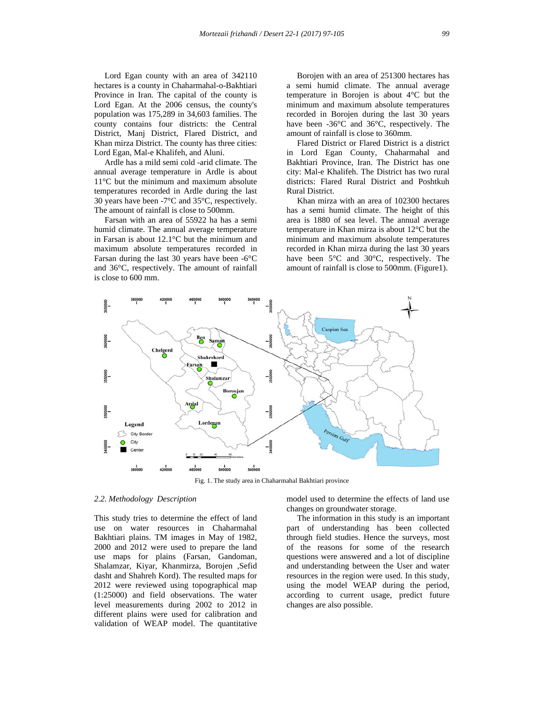Lord Egan county with an area of 342110 hectares is a county in Chaharmahal-o-Bakhtiari Province in Iran. The capital of the county is Lord Egan. At the 2006 census, the county's population was 175,289 in 34,603 families. The county contains four districts: the Central District, Manj District, Flared District, and Khan mirza District. The county has three cities: Lord Egan, Mal-e Khalifeh, and Aluni.

 Ardle has a mild semi cold -arid climate. The annual average temperature in Ardle is about 11°C but the minimum and maximum absolute temperatures recorded in Ardle during the last 30 years have been -7°C and 35°C, respectively. The amount of rainfall is close to 500mm.

 Farsan with an area of 55922 ha has a semi humid climate. The annual average temperature in Farsan is about 12.1°C but the minimum and maximum absolute temperatures recorded in Farsan during the last 30 years have been -6°C and 36°C, respectively. The amount of rainfall is close to 600 mm.

 Borojen with an area of 251300 hectares has a semi humid climate. The annual average temperature in Borojen is about 4°C but the minimum and maximum absolute temperatures recorded in Borojen during the last 30 years have been -36<sup>o</sup>C and 36<sup>o</sup>C, respectively. The amount of rainfall is close to 360mm.

 Flared District or Flared District is a district in Lord Egan County, Chaharmahal and Bakhtiari Province, Iran. The District has one city: Mal-e Khalifeh. The District has two rural districts: Flared Rural District and Poshtkuh Rural District.

 Khan mirza with an area of 102300 hectares has a semi humid climate. The height of this area is 1880 of sea level. The annual average temperature in Khan mirza is about 12°C but the minimum and maximum absolute temperatures recorded in Khan mirza during the last 30 years have been 5°C and 30°C, respectively. The amount of rainfall is close to 500mm. (Figure1).



Fig. 1. The study area in Chaharmahal Bakhtiari province

## *2.2. Methodology Description*

This study tries to determine the effect of land use on water resources in Chaharmahal Bakhtiari plains. TM images in May of 1982, 2000 and 2012 were used to prepare the land use maps for plains (Farsan, Gandoman, Shalamzar, Kiyar, Khanmirza, Borojen ,Sefid dasht and Shahreh Kord). The resulted maps for 2012 were reviewed using topographical map (1:25000) and field observations. The water level measurements during 2002 to 2012 in different plains were used for calibration and validation of WEAP model. The quantitative

model used to determine the effects of land use changes on groundwater storage.

 The information in this study is an important part of understanding has been collected through field studies. Hence the surveys, most of the reasons for some of the research questions were answered and a lot of discipline and understanding between the User and water resources in the region were used. In this study, using the model WEAP during the period, according to current usage, predict future changes are also possible.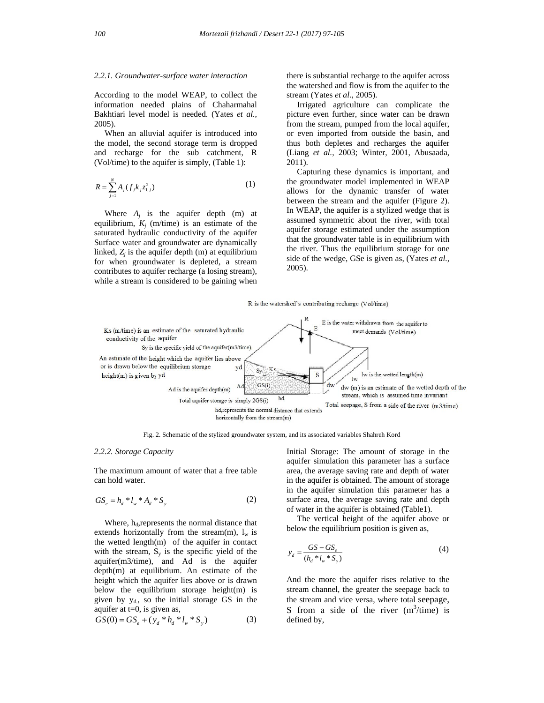#### *2.2.1. Groundwater-surface water interaction*

According to the model WEAP, to collect the information needed plains of Chaharmahal Bakhtiari level model is needed. (Yates *et al.,* 2005).

 When an alluvial aquifer is introduced into the model, the second storage term is dropped and recharge for the sub catchment, R (Vol/time) to the aquifer is simply, (Table 1):

$$
R = \sum_{j=1}^{N} A_j (f_j k_j z_{1,j}^2)
$$
 (1)

Where  $A_i$  is the aquifer depth  $(m)$  at equilibrium,  $K_i$  (m/time) is an estimate of the saturated hydraulic conductivity of the aquifer Surface water and groundwater are dynamically linked,  $Z_i$  is the aquifer depth  $(m)$  at equilibrium for when groundwater is depleted, a stream contributes to aquifer recharge (a losing stream), while a stream is considered to be gaining when

there is substantial recharge to the aquifer across the watershed and flow is from the aquifer to the stream (Yates *et al.,* 2005).

 Irrigated agriculture can complicate the picture even further, since water can be drawn from the stream, pumped from the local aquifer, or even imported from outside the basin, and thus both depletes and recharges the aquifer (Liang *et al.*, 2003; Winter, 2001, Abusaada, 2011).

 Capturing these dynamics is important, and the groundwater model implemented in WEAP allows for the dynamic transfer of water between the stream and the aquifer (Figure 2). In WEAP, the aquifer is a stylized wedge that is assumed symmetric about the river, with total aquifer storage estimated under the assumption that the groundwater table is in equilibrium with the river. Thus the equilibrium storage for one side of the wedge, GSe is given as, (Yates *et al.,* 2005).

R is the watershed's contributing recharge (Vol/time)



Fig. 2. Schematic of the stylized groundwater system, and its associated variables Shahreh Kord

#### *2.2.2. Storage Capacity*

The maximum amount of water that a free table can hold water.

$$
GS_e = h_d * l_w * A_d * S_y
$$
 (2)

Where,  $h_d$ , represents the normal distance that extends horizontally from the stream(m),  $l_w$  is the wetted length(m) of the aquifer in contact with the stream,  $S_y$  is the specific yield of the aquifer(m3/time), and Ad is the aquifer depth(m) at equilibrium. An estimate of the height which the aquifer lies above or is drawn below the equilibrium storage height(m) is given by  $y_d$ , so the initial storage GS in the aquifer at t=0, is given as,

$$
GS(0) = GS_e + (y_d * h_d * l_w * S_y)
$$
 (3)

Initial Storage: The amount of storage in the aquifer simulation this parameter has a surface area, the average saving rate and depth of water in the aquifer is obtained. The amount of storage in the aquifer simulation this parameter has a surface area, the average saving rate and depth of water in the aquifer is obtained (Table1).

 The vertical height of the aquifer above or below the equilibrium position is given as,

$$
y_d = \frac{GS - GS_e}{(h_d * l_w * S_y)}
$$
(4)

And the more the aquifer rises relative to the stream channel, the greater the seepage back to the stream and vice versa, where total seepage, S from a side of the river  $(m^3/time)$  is defined by,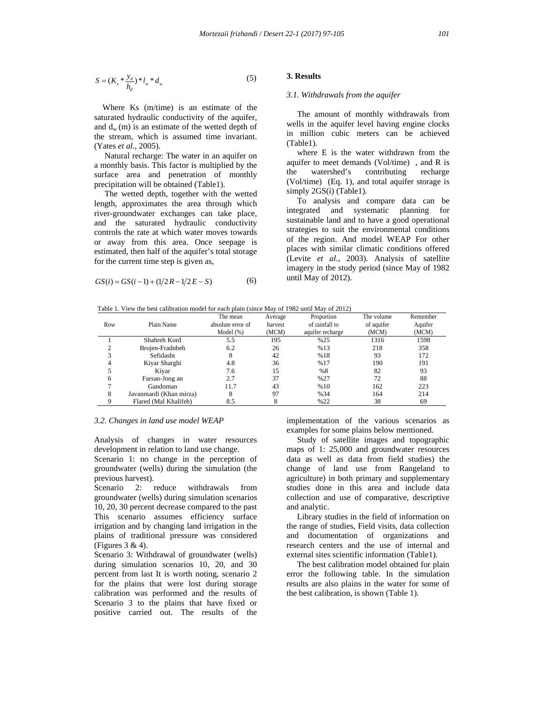$$
S = (K_s * \frac{y_d}{h_d}) * l_w * d_w
$$
 (5)

 Where Ks (m/time) is an estimate of the saturated hydraulic conductivity of the aquifer, and  $d_w$  (m) is an estimate of the wetted depth of the stream, which is assumed time invariant. (Yates *et al.*, 2005).

 Natural recharge: The water in an aquifer on a monthly basis. This factor is multiplied by the surface area and penetration of monthly precipitation will be obtained (Table1).

 The wetted depth, together with the wetted length, approximates the area through which river-groundwater exchanges can take place, and the saturated hydraulic conductivity controls the rate at which water moves towards or away from this area. Once seepage is estimated, then half of the aquifer's total storage for the current time step is given as,

$$
GS(i) = GS(i-1) + (1/2R - 1/2E - S)
$$
 (6)

### **3. Results**

#### *3.1. Withdrawals from the aquifer*

 The amount of monthly withdrawals from wells in the aquifer level having engine clocks in million cubic meters can be achieved (Table1).

 where E is the water withdrawn from the aquifer to meet demands (Vol/time) , and R is the watershed's contributing recharge (Vol/time) (Eq. 1), and total aquifer storage is simply 2GS(i) (Table1).

 To analysis and compare data can be integrated and systematic planning for sustainable land and to have a good operational strategies to suit the environmental conditions of the region. And model WEAP For other places with similar climatic conditions offered (Levite *et al.*, 2003). Analysis of satellite imagery in the study period (since May of 1982 until May of 2012).

Table 1. View the best calibration model for each plain (since May of 1982 until May of 2012)

|     |                         | The mean          | Average | Proportion       | The volume | Remember |
|-----|-------------------------|-------------------|---------|------------------|------------|----------|
| Row | Plain Name              | absolute error of | harvest | of rainfall to   | of aquifer | Aquifer  |
|     |                         | Model $(\%)$      | (MCM)   | aquifer recharge | (MCM)      | (MCM)    |
|     | Shahreh Kord            | 5.5               | 195     | %25              | 1316       | 1598     |
|     | Brojen-Fradnbeh         | 6.2               | 26      | %13              | 218        | 358      |
|     | Sefidasht               | 8                 | 42      | %18              | 93         | 172      |
| 4   | Kiyar Sharghi           | 4.8               | 36      | %17              | 190        | 191      |
|     | Kivar                   | 7.6               | 15      | %8               | 82         | 93       |
| 6   | Farsan-Jong an          | 2.7               | 37      | %27              | 72         | 88       |
|     | Gandoman                | 11.7              | 43      | %10              | 162        | 223      |
| 8   | Javanmardi (Khan mirza) | 8                 | 97      | %34              | 164        | 214      |
|     | Flared (Mal Khalifeh)   | 8.5               |         | %22              | 38         | 69       |

#### *3.2. Changes in land use model WEAP*

Analysis of changes in water resources development in relation to land use change.

Scenario 1: no change in the perception of groundwater (wells) during the simulation (the previous harvest).

Scenario 2: reduce withdrawals from groundwater (wells) during simulation scenarios 10, 20, 30 percent decrease compared to the past This scenario assumes efficiency surface irrigation and by changing land irrigation in the plains of traditional pressure was considered (Figures 3 & 4).

Scenario 3: Withdrawal of groundwater (wells) during simulation scenarios 10, 20, and 30 percent from last It is worth noting, scenario 2 for the plains that were lost during storage calibration was performed and the results of Scenario 3 to the plains that have fixed or positive carried out. The results of the implementation of the various scenarios as examples for some plains below mentioned.

 Study of satellite images and topographic maps of 1: 25,000 and groundwater resources data as well as data from field studies) the change of land use from Rangeland to agriculture) in both primary and supplementary studies done in this area and include data collection and use of comparative, descriptive and analytic.

 Library studies in the field of information on the range of studies, Field visits, data collection and documentation of organizations and research centers and the use of internal and external sites scientific information (Table1).

 The best calibration model obtained for plain error the following table. In the simulation results are also plains in the water for some of the best calibration, is shown (Table 1).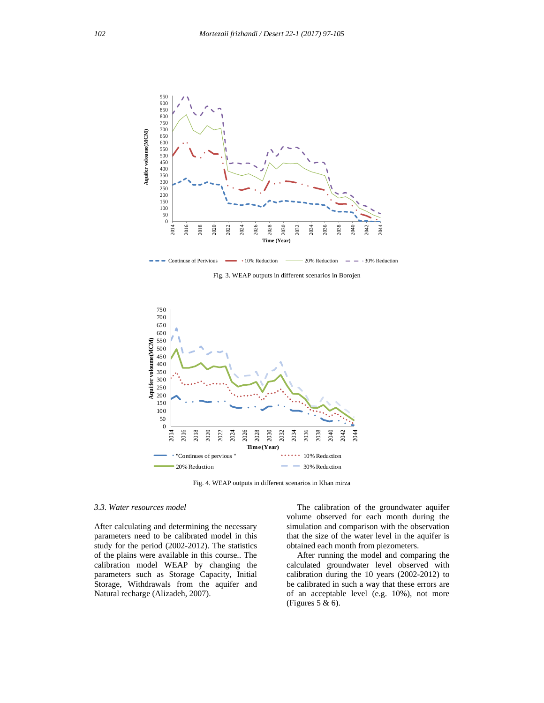

Fig. 3. WEAP outputs in different scenarios in Borojen



Fig. 4. WEAP outputs in different scenarios in Khan mirza

#### *3.3. Water resources model*

After calculating and determining the necessary parameters need to be calibrated model in this study for the period (2002-2012). The statistics of the plains were available in this course.. The calibration model WEAP by changing the parameters such as Storage Capacity, Initial Storage, Withdrawals from the aquifer and Natural recharge (Alizadeh, 2007).

 The calibration of the groundwater aquifer volume observed for each month during the simulation and comparison with the observation that the size of the water level in the aquifer is obtained each month from piezometers.

 After running the model and comparing the calculated groundwater level observed with calibration during the 10 years (2002-2012) to be calibrated in such a way that these errors are of an acceptable level (e.g. 10%), not more (Figures 5 & 6).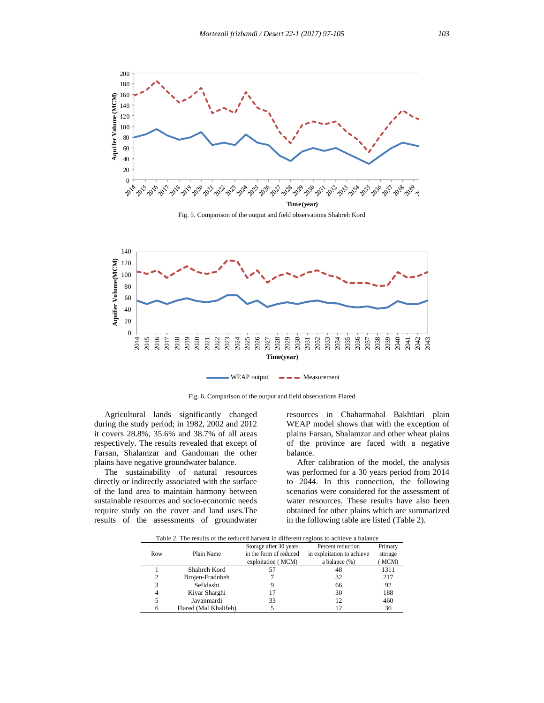



Fig. 6. Comparison of the output and field observations Flared

 Agricultural lands significantly changed during the study period; in 1982, 2002 and 2012 it covers 28.8%, 35.6% and 38.7% of all areas respectively. The results revealed that except of Farsan, Shalamzar and Gandoman the other plains have negative groundwater balance.

 The sustainability of natural resources directly or indirectly associated with the surface of the land area to maintain harmony between sustainable resources and socio-economic needs require study on the cover and land uses.The results of the assessments of groundwater

resources in Chaharmahal Bakhtiari plain WEAP model shows that with the exception of plains Farsan, Shalamzar and other wheat plains of the province are faced with a negative balance.

 After calibration of the model, the analysis was performed for a 30 years period from 2014 to 2044. In this connection, the following scenarios were considered for the assessment of water resources. These results have also been obtained for other plains which are summarized in the following table are listed (Table 2).

Table 2. The results of the reduced harvest in different regions to achieve a balance

| Table 2. The results of the requeed harvest in unferent regions to achieve a balance |                       |                        |                            |         |  |  |  |  |
|--------------------------------------------------------------------------------------|-----------------------|------------------------|----------------------------|---------|--|--|--|--|
|                                                                                      |                       | Storage after 30 years | Percent reduction          | Primary |  |  |  |  |
| Row                                                                                  | Plain Name            | in the form of reduced | in exploitation to achieve | storage |  |  |  |  |
|                                                                                      |                       | exploitation (MCM)     | a balance $(\%)$           | MCM)    |  |  |  |  |
|                                                                                      | Shahreh Kord          |                        | 48                         | 1311    |  |  |  |  |
| 2                                                                                    | Brojen-Fradnbeh       |                        | 32                         | 217     |  |  |  |  |
|                                                                                      | Sefidasht             |                        | 66                         | 92      |  |  |  |  |
| 4                                                                                    | Kiyar Sharghi         | 17                     | 30                         | 188     |  |  |  |  |
|                                                                                      | Javanmardi            | 33                     | 12                         | 460     |  |  |  |  |
|                                                                                      | Flared (Mal Khalifeh) |                        | 12                         | 36      |  |  |  |  |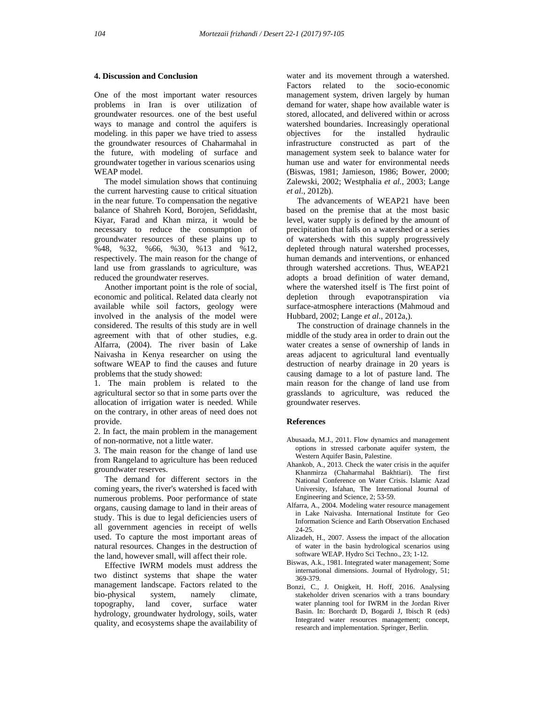## **4. Discussion and Conclusion**

One of the most important water resources problems in Iran is over utilization of groundwater resources. one of the best useful ways to manage and control the aquifers is modeling. in this paper we have tried to assess the groundwater resources of Chaharmahal in the future, with modeling of surface and groundwater together in various scenarios using WEAP model.

 The model simulation shows that continuing the current harvesting cause to critical situation in the near future. To compensation the negative balance of Shahreh Kord, Borojen, Sefiddasht, Kiyar, Farad and Khan mirza, it would be necessary to reduce the consumption of groundwater resources of these plains up to %48, %32, %66, %30, %13 and %12, respectively. The main reason for the change of land use from grasslands to agriculture, was reduced the groundwater reserves.

 Another important point is the role of social, economic and political. Related data clearly not available while soil factors, geology were involved in the analysis of the model were considered. The results of this study are in well agreement with that of other studies, e.g. Alfarra, (2004). The river basin of Lake Naivasha in Kenya researcher on using the software WEAP to find the causes and future problems that the study showed:

1. The main problem is related to the agricultural sector so that in some parts over the allocation of irrigation water is needed. While on the contrary, in other areas of need does not provide.

2. In fact, the main problem in the management of non-normative, not a little water.

3. The main reason for the change of land use from Rangeland to agriculture has been reduced groundwater reserves.

 The demand for different sectors in the coming years, the river's watershed is faced with numerous problems. Poor performance of state organs, causing damage to land in their areas of study. This is due to legal deficiencies users of all government agencies in receipt of wells used. To capture the most important areas of natural resources. Changes in the destruction of the land, however small, will affect their role.

 Effective IWRM models must address the two distinct systems that shape the water management landscape. Factors related to the bio-physical system, namely climate, topography, land cover, surface water hydrology, groundwater hydrology, soils, water quality, and ecosystems shape the availability of water and its movement through a watershed. Factors related to the socio-economic management system, driven largely by human demand for water, shape how available water is stored, allocated, and delivered within or across watershed boundaries. Increasingly operational objectives for the installed hydraulic infrastructure constructed as part of the management system seek to balance water for human use and water for environmental needs (Biswas, 1981; Jamieson, 1986; Bower, 2000; Zalewski, 2002; Westphalia *et al.,* 2003; Lange *et al.*, 2012b).

 The advancements of WEAP21 have been based on the premise that at the most basic level, water supply is defined by the amount of precipitation that falls on a watershed or a series of watersheds with this supply progressively depleted through natural watershed processes, human demands and interventions, or enhanced through watershed accretions. Thus, WEAP21 adopts a broad definition of water demand, where the watershed itself is The first point of depletion through evapotranspiration via surface-atmosphere interactions (Mahmoud and Hubbard, 2002; Lange *et al.*, 2012a,).

 The construction of drainage channels in the middle of the study area in order to drain out the water creates a sense of ownership of lands in areas adjacent to agricultural land eventually destruction of nearby drainage in 20 years is causing damage to a lot of pasture land. The main reason for the change of land use from grasslands to agriculture, was reduced the groundwater reserves.

#### **References**

- Abusaada, M.J., 2011. Flow dynamics and management options in stressed carbonate aquifer system, the Western Aquifer Basin, Palestine.
- Ahankob, A., 2013. Check the water crisis in the aquifer Khanmirza (Chaharmahal Bakhtiari). The first National Conference on Water Crisis. Islamic Azad University, Isfahan, The International Journal of Engineering and Science, 2; 53-59.
- Alfarra, A., 2004. Modeling water resource management in Lake Naivasha. International Institute for Geo Information Science and Earth Observation Enchased 24-25.
- Alizadeh, H., 2007. Assess the impact of the allocation of water in the basin hydrological scenarios using software WEAP. Hydro Sci Techno., 23; 1-12.
- Biswas, A.k., 1981. Integrated water management; Some international dimensions. Journal of Hydrology, 51; 369-379.
- Bonzi, C., J. Onigkeit, H. Hoff, 2016. Analysing stakeholder driven scenarios with a trans boundary water planning tool for IWRM in the Jordan River Basin. In: Borchardt D, Bogardi J, Ibisch R (eds) Integrated water resources management; concept, research and implementation. Springer, Berlin.